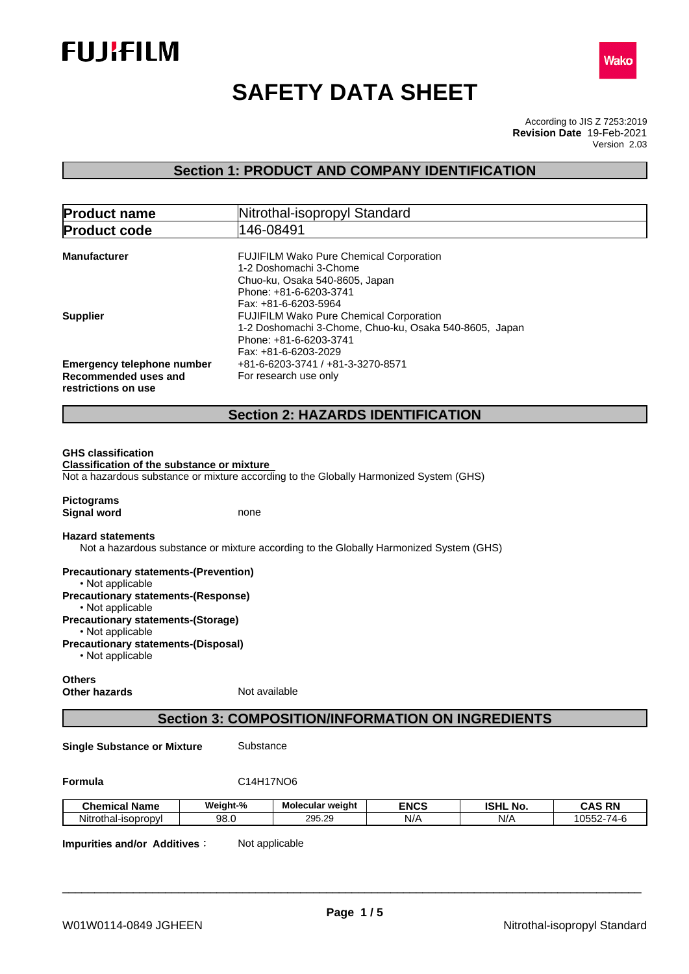



# **SAFETY DATA SHEET**

According to JIS Z 7253:2019 Version 2.03 **Revision Date** 19-Feb-2021

# **Section 1: PRODUCT AND COMPANY IDENTIFICATION**

| <b>Product name</b>                                                              | Nitrothal-isopropyl Standard                                                           |  |  |  |
|----------------------------------------------------------------------------------|----------------------------------------------------------------------------------------|--|--|--|
| <b>Product code</b>                                                              | 146-08491                                                                              |  |  |  |
| <b>Manufacturer</b>                                                              | <b>FUJIFILM Wako Pure Chemical Corporation</b><br>1-2 Doshomachi 3-Chome               |  |  |  |
|                                                                                  | Chuo-ku, Osaka 540-8605, Japan<br>Phone: +81-6-6203-3741                               |  |  |  |
| <b>Supplier</b>                                                                  | Fax: +81-6-6203-5964<br><b>FUJIFILM Wako Pure Chemical Corporation</b>                 |  |  |  |
|                                                                                  | 1-2 Doshomachi 3-Chome, Chuo-ku, Osaka 540-8605, Japan<br>Phone: +81-6-6203-3741       |  |  |  |
|                                                                                  | Fax: +81-6-6203-2029                                                                   |  |  |  |
| <b>Emergency telephone number</b><br>Recommended uses and<br>restrictions on use | +81-6-6203-3741 / +81-3-3270-8571<br>For research use only                             |  |  |  |
|                                                                                  |                                                                                        |  |  |  |
|                                                                                  | <b>Section 2: HAZARDS IDENTIFICATION</b>                                               |  |  |  |
|                                                                                  |                                                                                        |  |  |  |
| <b>GHS classification</b><br><b>Classification of the substance or mixture</b>   | Not a hazardous substance or mixture according to the Globally Harmonized System (GHS) |  |  |  |
| <b>Pictograms</b><br><b>Signal word</b>                                          | none                                                                                   |  |  |  |

**Precautionary statements-(Prevention)** • Not applicable **Precautionary statements-(Response)** • Not applicable **Precautionary statements-(Storage)** • Not applicable **Precautionary statements-(Disposal)**  $\cdot$  Not applicable

#### **Others Other hazards** Not available

# **Section 3: COMPOSITION/INFORMATION ON INGREDIENTS**

**Single Substance or Mixture** Substance

| <b>Chemical Name</b>    | Weight-% | Molecular weight                       | <b>ENCS</b> | <b>ISHL</b><br>NO. | <b>CAS RN</b>                     |
|-------------------------|----------|----------------------------------------|-------------|--------------------|-----------------------------------|
| Nitrothal<br>-isopropyl | 98.0     | $\sim$<br><b>OOE</b><br>- 20<br>290.29 | N/r         | N/t                | 10552.<br>-<br>$11 -$<br><br>vov. |

**Impurities and/or Additives:** Not applicable

**Formula** C14H17NO6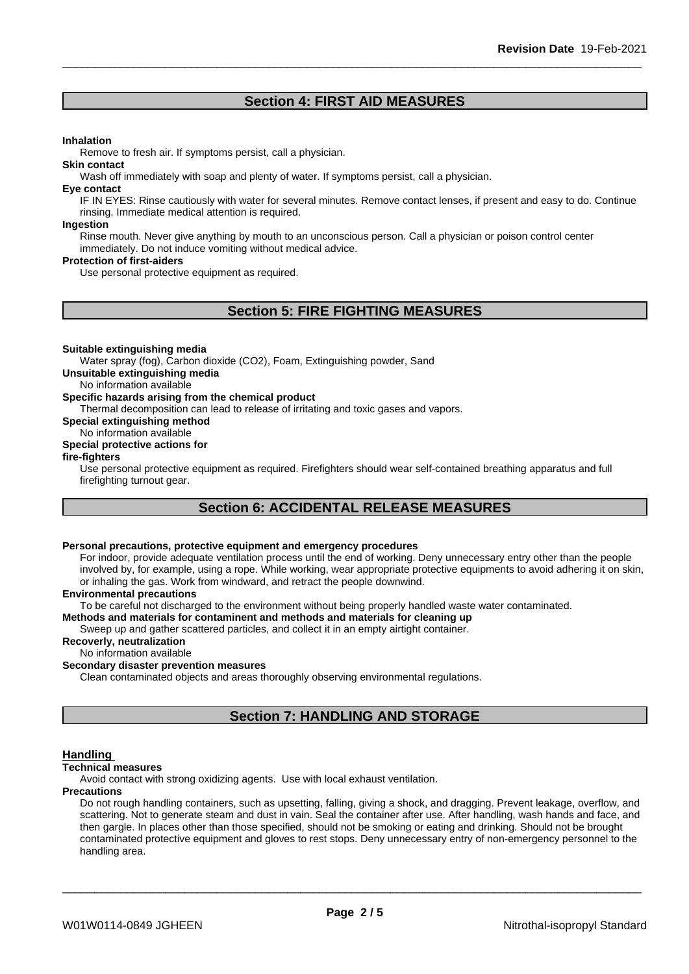# **Section 4: FIRST AID MEASURES**

#### **Inhalation**

Remove to fresh air. If symptoms persist, call a physician.

#### **Skin contact**

Wash off immediately with soap and plenty of water. If symptoms persist, call a physician.

#### **Eye contact**

IF IN EYES: Rinse cautiously with water for several minutes. Remove contact lenses, if present and easy to do. Continue rinsing. Immediate medical attention is required.

#### **Ingestion**

Rinse mouth. Never give anything by mouth to an unconscious person. Call a physician or poison control center immediately. Do not induce vomiting without medical advice.

#### **Protection of first-aiders**

Use personal protective equipment as required.

# **Section 5: FIRE FIGHTING MEASURES**

#### **Suitable extinguishing media**

Water spray (fog), Carbon dioxide (CO2), Foam, Extinguishing powder, Sand

**Unsuitable extinguishing media**

No information available

#### **Specific hazards arising from the chemical product**

Thermal decomposition can lead to release of irritating and toxic gases and vapors.

**Special extinguishing method**

#### No information available **Special protective actions for**

**fire-fighters**

Use personal protective equipment as required.Firefighters should wear self-contained breathing apparatus and full firefighting turnout gear.

# **Section 6: ACCIDENTAL RELEASE MEASURES**

# **Personal precautions, protective equipment and emergency procedures**

For indoor, provide adequate ventilation process until the end of working. Deny unnecessary entry other than the people involved by, for example, using a rope. While working, wear appropriate protective equipments to avoid adhering it on skin, or inhaling the gas. Work from windward, and retract the people downwind.

#### **Environmental precautions**

To be careful not discharged to the environment without being properly handled waste water contaminated.

#### **Methods and materials for contaminent and methods and materials for cleaning up**

Sweep up and gather scattered particles, and collect it in an empty airtight container.

#### **Recoverly, neutralization**

No information available

#### **Secondary disaster prevention measures**

Clean contaminated objects and areas thoroughly observing environmental regulations.

# **Section 7: HANDLING AND STORAGE**

#### **Handling**

#### **Technical measures**

Avoid contact with strong oxidizing agents. Use with local exhaust ventilation.

#### **Precautions**

Do not rough handling containers, such as upsetting, falling, giving a shock, and dragging. Prevent leakage, overflow, and scattering. Not to generate steam and dust in vain. Seal the container after use. After handling, wash hands and face, and then gargle. In places other than those specified, should not be smoking or eating and drinking. Should not be brought contaminated protective equipment and gloves to rest stops. Deny unnecessary entry of non-emergency personnel to the handling area.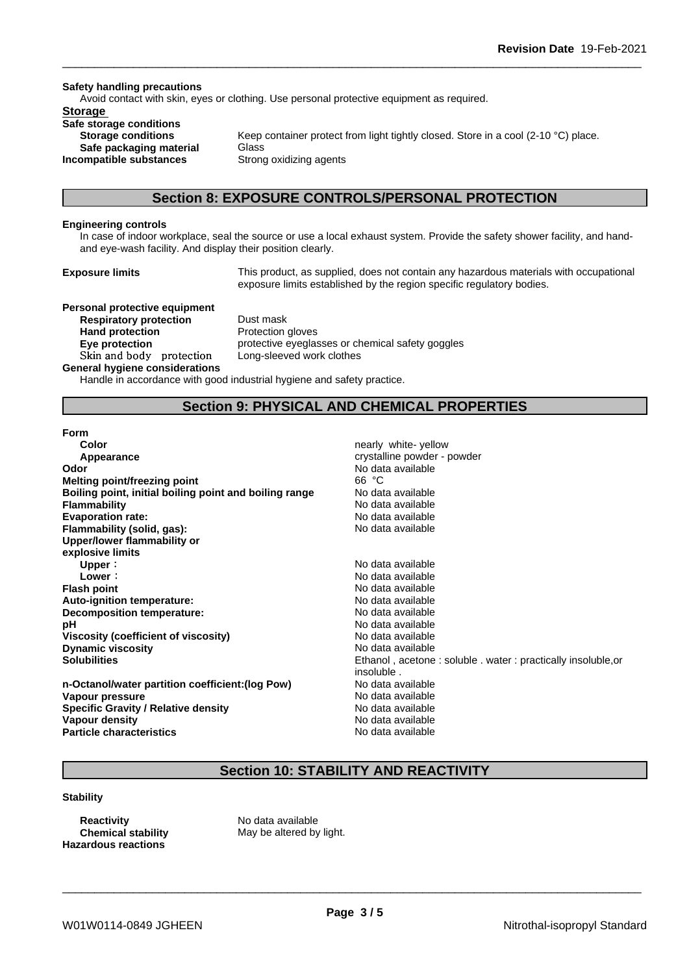#### **Safety handling precautions**

Avoid contact with skin, eyes or clothing. Use personal protective equipment as required.

### **Storage**

**Safe storage conditions Safe packaging material** Glass **Incompatible substances** Strong oxidizing agents

**Storage conditions** Keep container protect from light tightly closed. Store in a cool (2-10 °C) place.

## **Section 8: EXPOSURE CONTROLS/PERSONAL PROTECTION**

#### **Engineering controls**

In case of indoor workplace, seal the source or use a local exhaust system. Provide the safety shower facility, and handand eye-wash facility. And display their position clearly.

**Exposure limits** This product, as supplied, does not contain any hazardous materials with occupational exposure limits established by the region specific regulatory bodies.

**Personal protective equipment Respiratory protection** Dust mask Hand protection **Protection Protection** gloves **Skinandbody protection** Long-sleeved work clothes

**Eye protection protective eyeglasses or chemical safety goggles** 

#### **General hygiene considerations**

Handle in accordance with good industrial hygiene and safety practice.

# **Section 9: PHYSICAL AND CHEMICAL PROPERTIES**

#### **Form**

| nearly white-yellow                                         |
|-------------------------------------------------------------|
| crystalline powder - powder                                 |
| No data available                                           |
| 66 °C                                                       |
| No data available                                           |
| No data available                                           |
| No data available                                           |
| No data available                                           |
|                                                             |
|                                                             |
| No data available                                           |
| No data available                                           |
| No data available                                           |
| No data available                                           |
| No data available                                           |
| No data available                                           |
| No data available                                           |
| No data available                                           |
| Ethanol, acetone: soluble. water: practically insoluble, or |
| insoluble.                                                  |
| No data available                                           |
| No data available                                           |
| No data available                                           |
| No data available                                           |
| No data available                                           |
|                                                             |

# **Section 10: STABILITY AND REACTIVITY**

### **Stability**

**Reactivity** No data available **Hazardous reactions**

**Chemical stability** May be altered by light.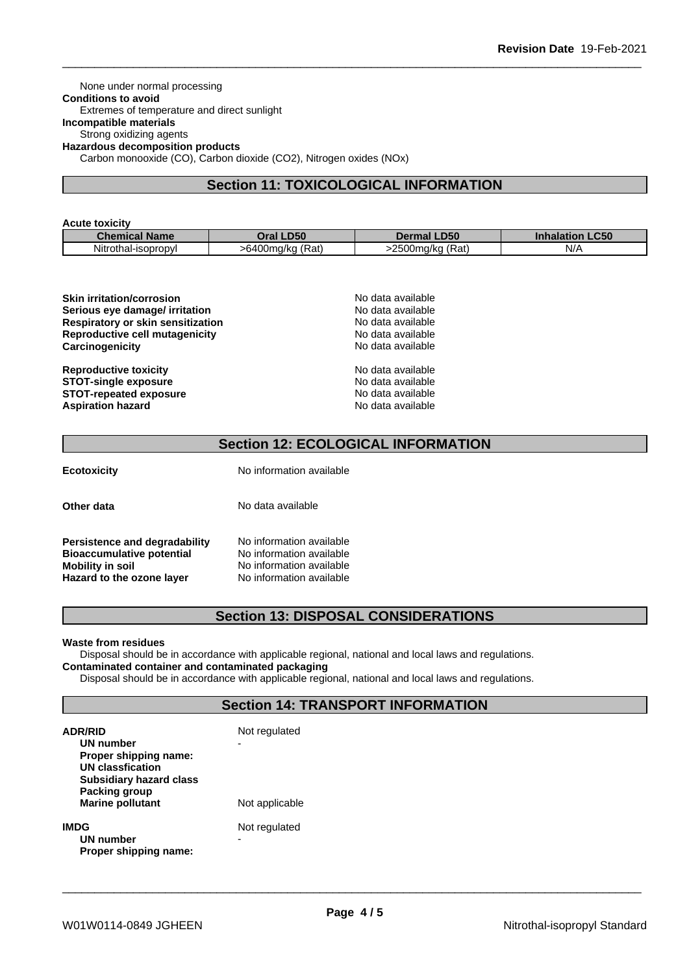None under normal processing **Conditions to avoid** Extremes of temperature and direct sunlight **Incompatible materials** Strong oxidizing agents **Hazardous decomposition products** Carbon monooxide (CO), Carbon dioxide (CO2), Nitrogen oxides (NOx)

# **Section 11: TOXICOLOGICAL INFORMATION**

#### **Acute toxicity**

| <b>Chemical Name</b> | <b>D50</b><br>Oral '                                  | <b>.D50</b><br>De                    | $P - P$<br>Innalation<br>.uju |
|----------------------|-------------------------------------------------------|--------------------------------------|-------------------------------|
| Nitrothal-isopropyl  | $\overline{\phantom{a}}$<br>3400ma/ka<br>(Rat<br>shаl | $\sim$ n $\sim$<br>(Rat<br>.500ma/ka | N/L                           |

| <b>Skin irritation/corrosion</b>         | No data available |  |
|------------------------------------------|-------------------|--|
| Serious eye damage/ irritation           | No data available |  |
| <b>Respiratory or skin sensitization</b> | No data available |  |
| Reproductive cell mutagenicity           | No data available |  |
| Carcinogenicity                          | No data available |  |
| <b>Reproductive toxicity</b>             | No data available |  |
| <b>STOT-single exposure</b>              | No data available |  |
| <b>STOT-repeated exposure</b>            | No data available |  |
| <b>Aspiration hazard</b>                 | No data available |  |

# **Section 12: ECOLOGICAL INFORMATION**

| Ecotoxicity |  |  |
|-------------|--|--|
|             |  |  |

**Ecotoxicity** No information available

**Persistence and degradability** No information available<br>**Bioaccumulative potential** No information available **Bioaccumulative potential<br>Mobility in soil Mobility in soil** No information available **Hazard to the ozone layer** No information available

**Other data** No data available

# **Section 13: DISPOSAL CONSIDERATIONS**

#### **Waste from residues**

Disposal should be in accordance with applicable regional, national and local laws and regulations. **Contaminated container and contaminated packaging**

Disposal should be in accordance with applicable regional, national and local laws and regulations.

# **Section 14: TRANSPORT INFORMATION**

| <b>ADR/RID</b><br>UN number<br>Proper shipping name:<br>UN classfication<br><b>Subsidiary hazard class</b> | Not regulated      |
|------------------------------------------------------------------------------------------------------------|--------------------|
| Packing group<br><b>Marine pollutant</b>                                                                   | Not applicable     |
| <b>IMDG</b><br>UN number<br>Proper shipping name:                                                          | Not regulated<br>- |